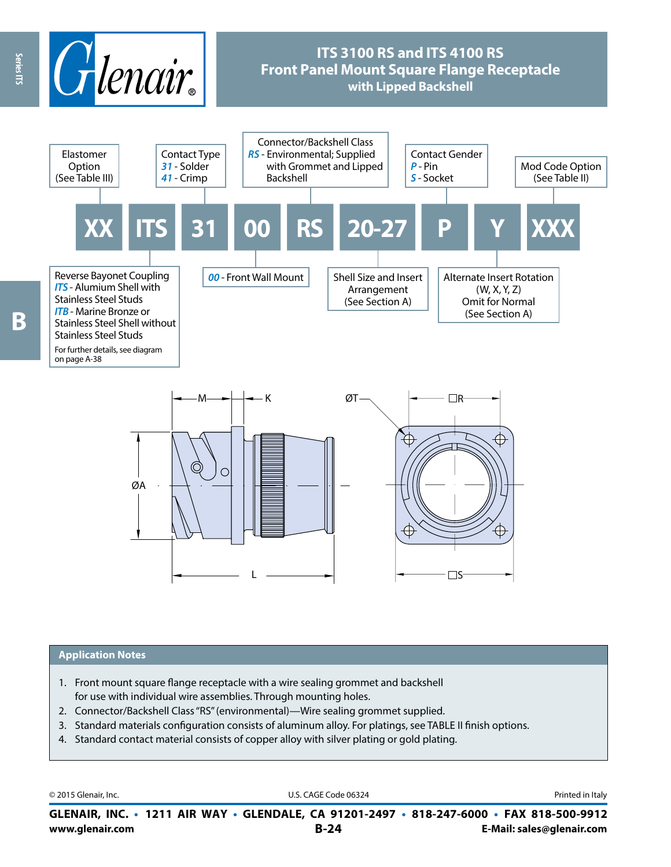

#### **Application Notes**

1. Front mount square flange receptacle with a wire sealing grommet and backshell for use with individual wire assemblies. Through mounting holes.

L

- 2. Connector/Backshell Class "RS" (environmental)—Wire sealing grommet supplied.
- 3. Standard materials configuration consists of aluminum alloy. For platings, see TABLE II finish options.
- 4. Standard contact material consists of copper alloy with silver plating or gold plating.

© 2015 Glenair, Inc. **Discription Construction Construction Construction Construction Construction Construction Construction Construction Construction Construction Construction Construction Construction Construction Constr** 

 $\square$ 

**www.glenair.com B-24 E-Mail: sales@glenair.com GLENAIR, INC. • 1211 AIR WAY • GLENDALE, CA 91201-2497 • 818-247-6000 • FAX 818-500-9912**

B